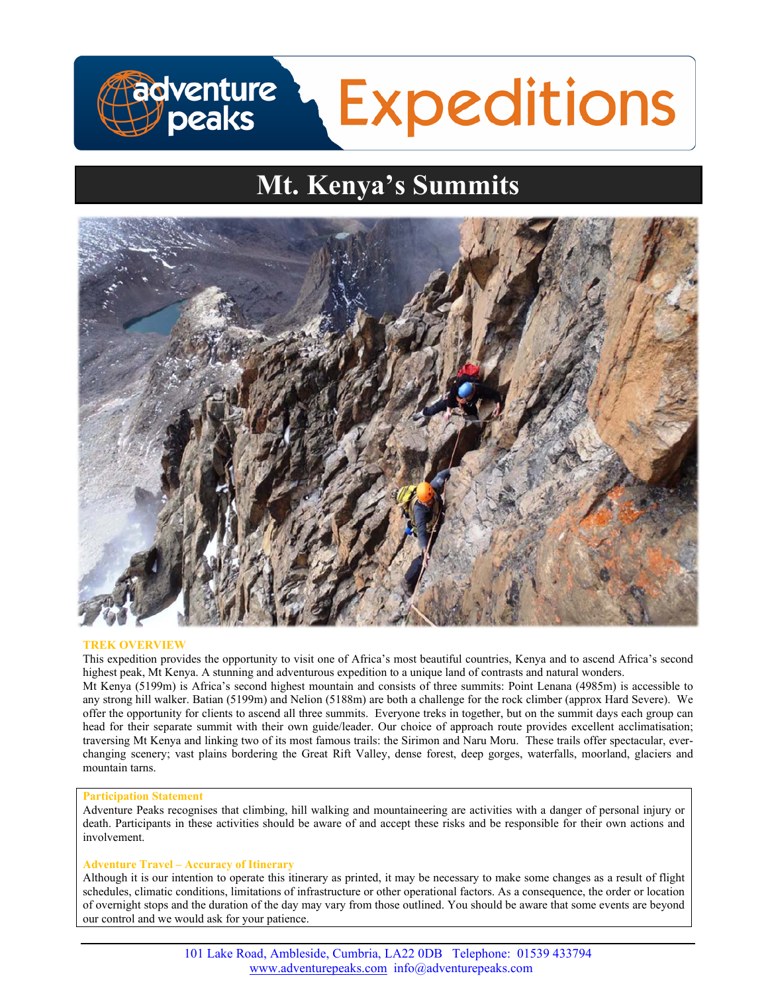# **Fadventure**<br>Løpeaks **Expeditions**

# **Mt. Kenya's Summits**



# **TREK OVERVIEW**

This expedition provides the opportunity to visit one of Africa's most beautiful countries, Kenya and to ascend Africa's second highest peak, Mt Kenya. A stunning and adventurous expedition to a unique land of contrasts and natural wonders.

Mt Kenya (5199m) is Africa's second highest mountain and consists of three summits: Point Lenana (4985m) is accessible to any strong hill walker. Batian (5199m) and Nelion (5188m) are both a challenge for the rock climber (approx Hard Severe). We offer the opportunity for clients to ascend all three summits. Everyone treks in together, but on the summit days each group can head for their separate summit with their own guide/leader. Our choice of approach route provides excellent acclimatisation; traversing Mt Kenya and linking two of its most famous trails: the Sirimon and Naru Moru. These trails offer spectacular, everchanging scenery; vast plains bordering the Great Rift Valley, dense forest, deep gorges, waterfalls, moorland, glaciers and mountain tarns.

# **Participation Statement**

Adventure Peaks recognises that climbing, hill walking and mountaineering are activities with a danger of personal injury or death. Participants in these activities should be aware of and accept these risks and be responsible for their own actions and involvement.

# **Adventure Travel – Accuracy of Itinerary**

Although it is our intention to operate this itinerary as printed, it may be necessary to make some changes as a result of flight schedules, climatic conditions, limitations of infrastructure or other operational factors. As a consequence, the order or location of overnight stops and the duration of the day may vary from those outlined. You should be aware that some events are beyond our control and we would ask for your patience.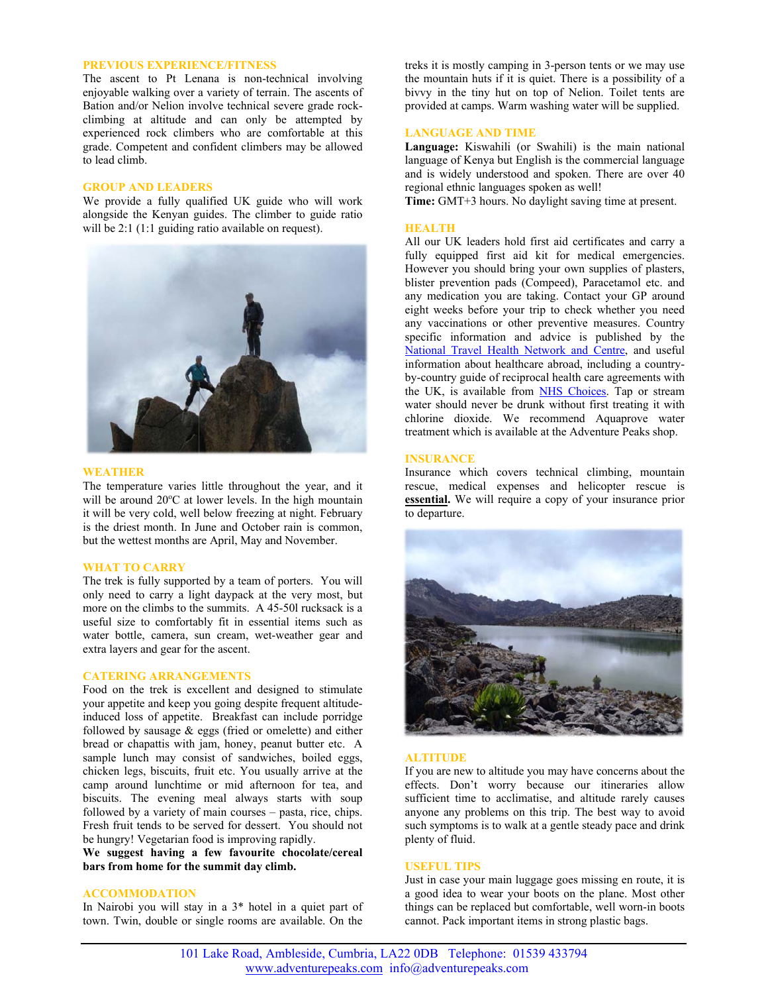## **PREVIOUS EXPERIENCE/FITNESS**

The ascent to Pt Lenana is non-technical involving enjoyable walking over a variety of terrain. The ascents of Bation and/or Nelion involve technical severe grade rockclimbing at altitude and can only be attempted by experienced rock climbers who are comfortable at this grade. Competent and confident climbers may be allowed to lead climb.

# **GROUP AND LEADERS**

We provide a fully qualified UK guide who will work alongside the Kenyan guides. The climber to guide ratio will be 2:1 (1:1 guiding ratio available on request).



#### **WEATHER**

The temperature varies little throughout the year, and it will be around  $20^{\circ}$ C at lower levels. In the high mountain it will be very cold, well below freezing at night. February is the driest month. In June and October rain is common, but the wettest months are April, May and November.

#### **WHAT TO CARRY**

The trek is fully supported by a team of porters. You will only need to carry a light daypack at the very most, but more on the climbs to the summits. A 45-50l rucksack is a useful size to comfortably fit in essential items such as water bottle, camera, sun cream, wet-weather gear and extra layers and gear for the ascent.

# **CATERING ARRANGEMENTS**

Food on the trek is excellent and designed to stimulate your appetite and keep you going despite frequent altitudeinduced loss of appetite. Breakfast can include porridge followed by sausage & eggs (fried or omelette) and either bread or chapattis with jam, honey, peanut butter etc. A sample lunch may consist of sandwiches, boiled eggs, chicken legs, biscuits, fruit etc. You usually arrive at the camp around lunchtime or mid afternoon for tea, and biscuits. The evening meal always starts with soup followed by a variety of main courses – pasta, rice, chips. Fresh fruit tends to be served for dessert. You should not be hungry! Vegetarian food is improving rapidly.

**We suggest having a few favourite chocolate/cereal bars from home for the summit day climb.** 

# **ACCOMMODATION**

In Nairobi you will stay in a 3\* hotel in a quiet part of town. Twin, double or single rooms are available. On the

treks it is mostly camping in 3-person tents or we may use the mountain huts if it is quiet. There is a possibility of a bivvy in the tiny hut on top of Nelion. Toilet tents are provided at camps. Warm washing water will be supplied.

#### **LANGUAGE AND TIME**

**Language:** Kiswahili (or Swahili) is the main national language of Kenya but English is the commercial language and is widely understood and spoken. There are over 40 regional ethnic languages spoken as well!

**Time:** GMT+3 hours. No daylight saving time at present.

# **HEALTH**

All our UK leaders hold first aid certificates and carry a fully equipped first aid kit for medical emergencies. However you should bring your own supplies of plasters, blister prevention pads (Compeed), Paracetamol etc. and any medication you are taking. Contact your GP around eight weeks before your trip to check whether you need any vaccinations or other preventive measures. Country specific information and advice is published by the National Travel Health Network and Centre, and useful information about healthcare abroad, including a countryby-country guide of reciprocal health care agreements with the UK, is available from NHS Choices. Tap or stream water should never be drunk without first treating it with chlorine dioxide. We recommend Aquaprove water treatment which is available at the Adventure Peaks shop.

# **INSURANCE**

Insurance which covers technical climbing, mountain rescue, medical expenses and helicopter rescue is **essential.** We will require a copy of your insurance prior to departure.



#### **ALTITUDE**

If you are new to altitude you may have concerns about the effects. Don't worry because our itineraries allow sufficient time to acclimatise, and altitude rarely causes anyone any problems on this trip. The best way to avoid such symptoms is to walk at a gentle steady pace and drink plenty of fluid.

#### **USEFUL TIPS**

Just in case your main luggage goes missing en route, it is a good idea to wear your boots on the plane. Most other things can be replaced but comfortable, well worn-in boots cannot. Pack important items in strong plastic bags.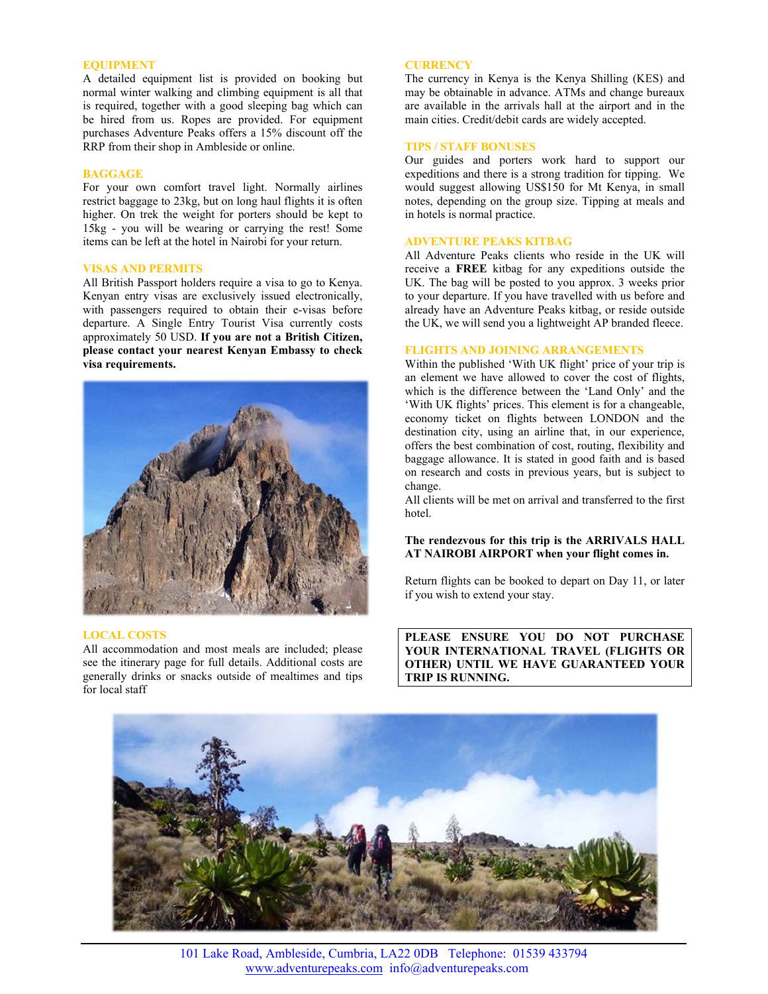#### **EQUIPMENT**

A detailed equipment list is provided on booking but normal winter walking and climbing equipment is all that is required, together with a good sleeping bag which can be hired from us. Ropes are provided. For equipment purchases Adventure Peaks offers a 15% discount off the RRP from their shop in Ambleside or online.

# **BAGGAGE**

For your own comfort travel light. Normally airlines restrict baggage to 23kg, but on long haul flights it is often higher. On trek the weight for porters should be kept to 15kg - you will be wearing or carrying the rest! Some items can be left at the hotel in Nairobi for your return.

# **VISAS AND PERMITS**

All British Passport holders require a visa to go to Kenya. Kenyan entry visas are exclusively issued electronically, with passengers required to obtain their e-visas before departure. A Single Entry Tourist Visa currently costs approximately 50 USD. **If you are not a British Citizen, please contact your nearest Kenyan Embassy to check visa requirements.**



#### **LOCAL COSTS**

All accommodation and most meals are included; please see the itinerary page for full details. Additional costs are generally drinks or snacks outside of mealtimes and tips for local staff

#### **CURRENCY**

The currency in Kenya is the Kenya Shilling (KES) and may be obtainable in advance. ATMs and change bureaux are available in the arrivals hall at the airport and in the main cities. Credit/debit cards are widely accepted.

# **TIPS / STAFF BONUSES**

Our guides and porters work hard to support our expeditions and there is a strong tradition for tipping. We would suggest allowing US\$150 for Mt Kenya, in small notes, depending on the group size. Tipping at meals and in hotels is normal practice.

# **ADVENTURE PEAKS KITBAG**

All Adventure Peaks clients who reside in the UK will receive a **FREE** kitbag for any expeditions outside the UK. The bag will be posted to you approx. 3 weeks prior to your departure. If you have travelled with us before and already have an Adventure Peaks kitbag, or reside outside the UK, we will send you a lightweight AP branded fleece.

#### **FLIGHTS AND JOINING ARRANGEMENTS**

Within the published 'With UK flight' price of your trip is an element we have allowed to cover the cost of flights, which is the difference between the 'Land Only' and the 'With UK flights' prices. This element is for a changeable, economy ticket on flights between LONDON and the destination city, using an airline that, in our experience, offers the best combination of cost, routing, flexibility and baggage allowance. It is stated in good faith and is based on research and costs in previous years, but is subject to change.

All clients will be met on arrival and transferred to the first hotel.

# **The rendezvous for this trip is the ARRIVALS HALL AT NAIROBI AIRPORT when your flight comes in.**

Return flights can be booked to depart on Day 11, or later if you wish to extend your stay.

**PLEASE ENSURE YOU DO NOT PURCHASE YOUR INTERNATIONAL TRAVEL (FLIGHTS OR OTHER) UNTIL WE HAVE GUARANTEED YOUR TRIP IS RUNNING.**



101 Lake Road, Ambleside, Cumbria, LA22 0DB Telephone: 01539 433794 www.adventurepeaks.com info@adventurepeaks.com